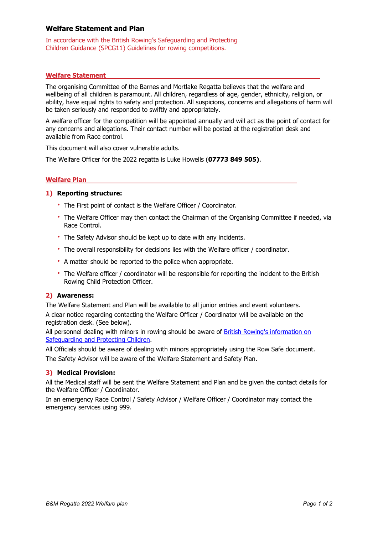# Welfare Statement and Plan

In accordance with the British Rowing's Safeguarding and Protecting Children Guidance (SPCG11) Guidelines for rowing competitions.

## Welfare Statement

The organising Committee of the Barnes and Mortlake Regatta believes that the welfare and wellbeing of all children is paramount. All children, regardless of age, gender, ethnicity, religion, or ability, have equal rights to safety and protection. All suspicions, concerns and allegations of harm will be taken seriously and responded to swiftly and appropriately.

A welfare officer for the competition will be appointed annually and will act as the point of contact for any concerns and allegations. Their contact number will be posted at the registration desk and available from Race control.

This document will also cover vulnerable adults.

The Welfare Officer for the 2022 regatta is Luke Howells (07773 849 505).

## Welfare Plan

## 1) Reporting structure:

- The First point of contact is the Welfare Officer / Coordinator.
- The Welfare Officer may then contact the Chairman of the Organising Committee if needed, via Race Control.
- The Safety Advisor should be kept up to date with any incidents.
- The overall responsibility for decisions lies with the Welfare officer / coordinator.
- A matter should be reported to the police when appropriate.
- The Welfare officer / coordinator will be responsible for reporting the incident to the British Rowing Child Protection Officer.

## 2) Awareness:

The Welfare Statement and Plan will be available to all junior entries and event volunteers. A clear notice regarding contacting the Welfare Officer / Coordinator will be available on the registration desk. (See below).

All personnel dealing with minors in rowing should be aware of British Rowing's information on Safeguarding and Protecting Children.

All Officials should be aware of dealing with minors appropriately using the Row Safe document. The Safety Advisor will be aware of the Welfare Statement and Safety Plan.

## 3) Medical Provision:

All the Medical staff will be sent the Welfare Statement and Plan and be given the contact details for the Welfare Officer / Coordinator.

In an emergency Race Control / Safety Advisor / Welfare Officer / Coordinator may contact the emergency services using 999.